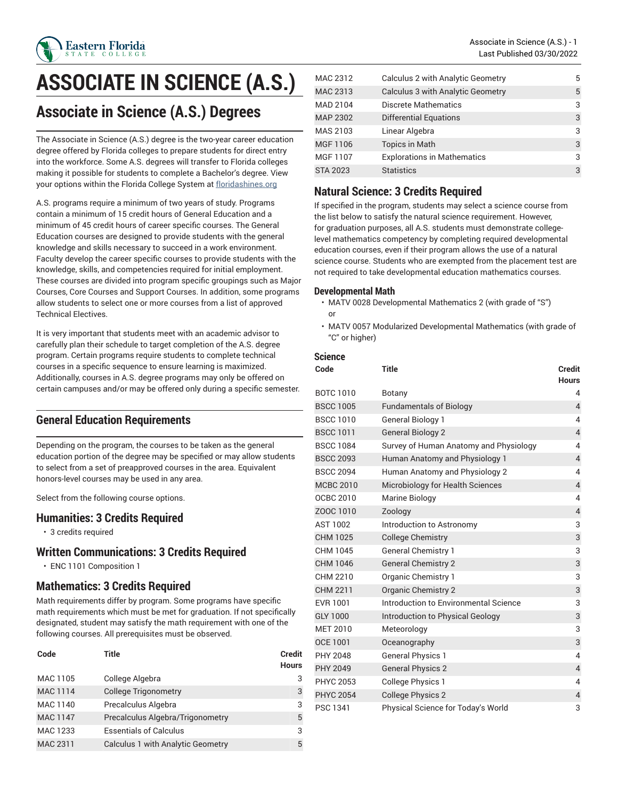

# **ASSOCIATE IN SCIENCE (A.S.)**

# **Associate in Science (A.S.) Degrees**

The Associate in Science (A.S.) degree is the two-year career education degree offered by Florida colleges to prepare students for direct entry into the workforce. Some A.S. degrees will transfer to Florida colleges making it possible for students to complete a Bachelor's degree. View your options within the Florida College System at [floridashines.org](http://www.floridashines.org)

A.S. programs require a minimum of two years of study. Programs contain a minimum of 15 credit hours of General Education and a minimum of 45 credit hours of career specific courses. The General Education courses are designed to provide students with the general knowledge and skills necessary to succeed in a work environment. Faculty develop the career specific courses to provide students with the knowledge, skills, and competencies required for initial employment. These courses are divided into program specific groupings such as Major Courses, Core Courses and Support Courses. In addition, some programs allow students to select one or more courses from a list of approved Technical Electives.

It is very important that students meet with an academic advisor to carefully plan their schedule to target completion of the A.S. degree program. Certain programs require students to complete technical courses in a specific sequence to ensure learning is maximized. Additionally, courses in A.S. degree programs may only be offered on certain campuses and/or may be offered only during a specific semester.

### **General Education Requirements**

Depending on the program, the courses to be taken as the general education portion of the degree may be specified or may allow students to select from a set of preapproved courses in the area. Equivalent honors-level courses may be used in any area.

Select from the following course options.

#### **Humanities: 3 Credits Required**

• 3 credits required

#### **Written Communications: 3 Credits Required**

• ENC 1101 Composition 1

### **Mathematics: 3 Credits Required**

Math requirements differ by program. Some programs have specific math requirements which must be met for graduation. If not specifically designated, student may satisfy the math requirement with one of the following courses. All prerequisites must be observed.

| Code            | Title                                    | <b>Credit</b><br><b>Hours</b> |
|-----------------|------------------------------------------|-------------------------------|
| MAC 1105        | College Algebra                          | 3                             |
| <b>MAC 1114</b> | <b>College Trigonometry</b>              | 3                             |
| MAC 1140        | Precalculus Algebra                      | 3                             |
| <b>MAC 1147</b> | Precalculus Algebra/Trigonometry         | 5                             |
| MAC 1233        | <b>Essentials of Calculus</b>            | 3                             |
| MAC 2311        | <b>Calculus 1 with Analytic Geometry</b> | 5                             |

| MAC 2312        | Calculus 2 with Analytic Geometry        | 5 |
|-----------------|------------------------------------------|---|
| MAC 2313        | <b>Calculus 3 with Analytic Geometry</b> | 5 |
| MAD 2104        | Discrete Mathematics                     | 3 |
| <b>MAP 2302</b> | <b>Differential Equations</b>            | 3 |
| MAS 2103        | Linear Algebra                           | 3 |
| MGF 1106        | <b>Topics in Math</b>                    | 3 |
| MGF 1107        | <b>Explorations in Mathematics</b>       | 3 |
| <b>STA 2023</b> | <b>Statistics</b>                        | 3 |

## **Natural Science: 3 Credits Required**

If specified in the program, students may select a science course from the list below to satisfy the natural science requirement. However, for graduation purposes, all A.S. students must demonstrate collegelevel mathematics competency by completing required developmental education courses, even if their program allows the use of a natural science course. Students who are exempted from the placement test are not required to take developmental education mathematics courses.

#### **Developmental Math**

- MATV 0028 Developmental Mathematics 2 (with grade of "S") or
- MATV 0057 Modularized Developmental Mathematics (with grade of "C" or higher)

#### **Science**

| Code             | <b>Title</b>                           | <b>Credit</b><br><b>Hours</b> |
|------------------|----------------------------------------|-------------------------------|
| <b>BOTC 1010</b> | Botany                                 | 4                             |
| <b>BSCC 1005</b> | <b>Fundamentals of Biology</b>         | $\overline{4}$                |
| <b>BSCC 1010</b> | <b>General Biology 1</b>               | 4                             |
| <b>BSCC 1011</b> | <b>General Biology 2</b>               | $\overline{4}$                |
| <b>BSCC 1084</b> | Survey of Human Anatomy and Physiology | 4                             |
| <b>BSCC 2093</b> | Human Anatomy and Physiology 1         | $\overline{4}$                |
| <b>BSCC 2094</b> | Human Anatomy and Physiology 2         | 4                             |
| <b>MCBC 2010</b> | Microbiology for Health Sciences       | $\overline{4}$                |
| OCBC 2010        | <b>Marine Biology</b>                  | 4                             |
| ZOOC 1010        | Zoology                                | $\overline{4}$                |
| AST 1002         | Introduction to Astronomy              | 3                             |
| CHM 1025         | <b>College Chemistry</b>               | 3                             |
| CHM 1045         | <b>General Chemistry 1</b>             | 3                             |
| CHM 1046         | <b>General Chemistry 2</b>             | 3                             |
| CHM 2210         | Organic Chemistry 1                    | 3                             |
| CHM 2211         | <b>Organic Chemistry 2</b>             | 3                             |
| EVR 1001         | Introduction to Environmental Science  | 3                             |
| GLY 1000         | Introduction to Physical Geology       | 3                             |
| <b>MET 2010</b>  | Meteorology                            | 3                             |
| OCE 1001         | Oceanography                           | 3                             |
| PHY 2048         | <b>General Physics 1</b>               | 4                             |
| <b>PHY 2049</b>  | <b>General Physics 2</b>               | $\overline{4}$                |
| <b>PHYC 2053</b> | <b>College Physics 1</b>               | 4                             |
| <b>PHYC 2054</b> | <b>College Physics 2</b>               | $\overline{4}$                |
| <b>PSC 1341</b>  | Physical Science for Today's World     | 3                             |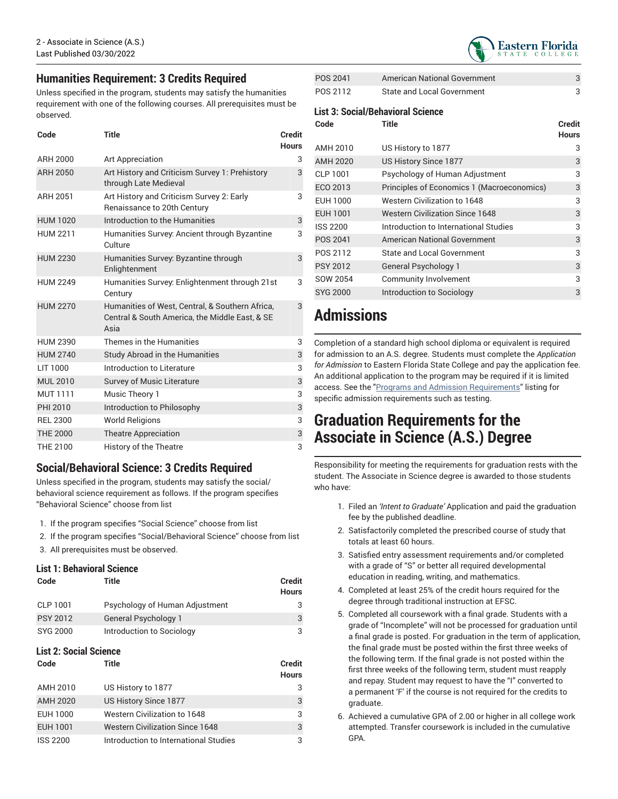### **Humanities Requirement: 3 Credits Required**

Unless specified in the program, students may satisfy the humanities requirement with one of the following courses. All prerequisites must be observed.

| Code            | Title                                                                                                     | Credit<br><b>Hours</b> |
|-----------------|-----------------------------------------------------------------------------------------------------------|------------------------|
| ARH 2000        | Art Appreciation                                                                                          | 3                      |
| <b>ARH 2050</b> | Art History and Criticism Survey 1: Prehistory<br>through Late Medieval                                   | 3                      |
| <b>ARH 2051</b> | Art History and Criticism Survey 2: Early<br>Renaissance to 20th Century                                  | 3                      |
| <b>HUM 1020</b> | Introduction to the Humanities                                                                            | 3                      |
| <b>HUM 2211</b> | Humanities Survey: Ancient through Byzantine<br>Culture                                                   | 3                      |
| <b>HUM 2230</b> | Humanities Survey. Byzantine through<br>Enlightenment                                                     | 3                      |
| <b>HUM 2249</b> | Humanities Survey: Enlightenment through 21st<br>Century                                                  | 3                      |
| <b>HUM 2270</b> | Humanities of West, Central, & Southern Africa,<br>Central & South America, the Middle East, & SE<br>Asia | 3                      |
| <b>HUM 2390</b> | Themes in the Humanities                                                                                  | 3                      |
| <b>HUM 2740</b> | <b>Study Abroad in the Humanities</b>                                                                     | 3                      |
| LIT 1000        | Introduction to Literature                                                                                | 3                      |
| <b>MUL 2010</b> | <b>Survey of Music Literature</b>                                                                         | 3                      |
| <b>MUT 1111</b> | Music Theory 1                                                                                            | 3                      |
| PHI 2010        | Introduction to Philosophy                                                                                | 3                      |
| <b>REL 2300</b> | <b>World Religions</b>                                                                                    | 3                      |
| <b>THE 2000</b> | <b>Theatre Appreciation</b>                                                                               | 3                      |
| THE 2100        | <b>History of the Theatre</b>                                                                             | 3                      |

### **Social/Behavioral Science: 3 Credits Required**

Unless specified in the program, students may satisfy the social/ behavioral science requirement as follows. If the program specifies "Behavioral Science" choose from list

- 1. If the program specifies "Social Science" choose from list
- 2. If the program specifies "Social/Behavioral Science" choose from list
- 3. All prerequisites must be observed.

#### **List 1: Behavioral Science**

| Code            | Title                          | <b>Credit</b><br><b>Hours</b> |
|-----------------|--------------------------------|-------------------------------|
| CLP 1001        | Psychology of Human Adjustment | 3                             |
| <b>PSY 2012</b> | General Psychology 1           | 3                             |
| SYG 2000        | Introduction to Sociology      | 3                             |

#### **List 2: Social Science**

| Code            | Title                                  | <b>Credit</b><br><b>Hours</b> |
|-----------------|----------------------------------------|-------------------------------|
| AMH 2010        | US History to 1877                     |                               |
| <b>AMH 2020</b> | US History Since 1877                  | 3                             |
| EUH 1000        | Western Civilization to 1648           | 3                             |
| EUH 1001        | <b>Western Civilization Since 1648</b> | 3                             |
| <b>ISS 2200</b> | Introduction to International Studies  | 3                             |



| POS 2041 | American National Government      |  |
|----------|-----------------------------------|--|
| POS 2112 | <b>State and Local Government</b> |  |

#### **List 3: Social/Behavioral Science**

| Code            | <b>Title</b>                               | Credit<br><b>Hours</b> |
|-----------------|--------------------------------------------|------------------------|
| AMH 2010        | US History to 1877                         | 3                      |
| <b>AMH 2020</b> | US History Since 1877                      | 3                      |
| <b>CLP 1001</b> | Psychology of Human Adjustment             | 3                      |
| ECO 2013        | Principles of Economics 1 (Macroeconomics) | 3                      |
| EUH 1000        | Western Civilization to 1648               | 3                      |
| EUH 1001        | <b>Western Civilization Since 1648</b>     | 3                      |
| <b>ISS 2200</b> | Introduction to International Studies      | 3                      |
| POS 2041        | <b>American National Government</b>        | 3                      |
| POS 2112        | State and Local Government                 | 3                      |
| <b>PSY 2012</b> | General Psychology 1                       | 3                      |
| SOW 2054        | Community Involvement                      | 3                      |
| <b>SYG 2000</b> | Introduction to Sociology                  | 3                      |

# **Admissions**

Completion of a standard high school diploma or equivalent is required for admission to an A.S. degree. Students must complete the *Application for Admission* to Eastern Florida State College and pay the application fee. An additional application to the program may be required if it is limited access. See the "Programs and Admission [Requirements](https://catalog.easternflorida.edu/programs-admission-requirements/)" listing for specific admission requirements such as testing.

# **Graduation Requirements for the Associate in Science (A.S.) Degree**

Responsibility for meeting the requirements for graduation rests with the student. The Associate in Science degree is awarded to those students who have:

- 1. Filed an *'Intent to Graduate'* Application and paid the graduation fee by the published deadline.
- 2. Satisfactorily completed the prescribed course of study that totals at least 60 hours.
- 3. Satisfied entry assessment requirements and/or completed with a grade of "S" or better all required developmental education in reading, writing, and mathematics.
- 4. Completed at least 25% of the credit hours required for the degree through traditional instruction at EFSC.
- 5. Completed all coursework with a final grade. Students with a grade of "Incomplete" will not be processed for graduation until a final grade is posted. For graduation in the term of application, the final grade must be posted within the first three weeks of the following term. If the final grade is not posted within the first three weeks of the following term, student must reapply and repay. Student may request to have the "I" converted to a permanent 'F' if the course is not required for the credits to graduate.
- 6. Achieved a cumulative GPA of 2.00 or higher in all college work attempted. Transfer coursework is included in the cumulative GPA.